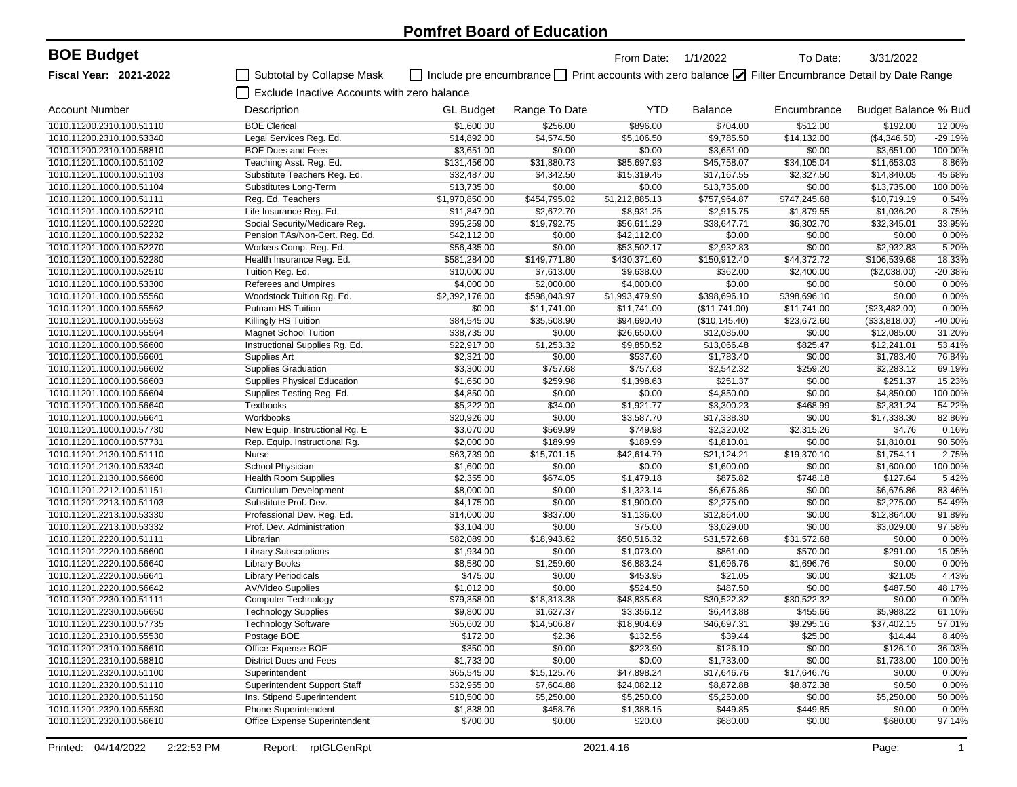| <b>BOE Budget</b>             |                                             |                                                                                                        |               | From Date:     | 1/1/2022       | To Date:     | 3/31/2022            |           |
|-------------------------------|---------------------------------------------|--------------------------------------------------------------------------------------------------------|---------------|----------------|----------------|--------------|----------------------|-----------|
| <b>Fiscal Year: 2021-2022</b> | Subtotal by Collapse Mask                   | □ Include pre encumbrance □ Print accounts with zero balance ☑ Filter Encumbrance Detail by Date Range |               |                |                |              |                      |           |
|                               | Exclude Inactive Accounts with zero balance |                                                                                                        |               |                |                |              |                      |           |
| <b>Account Number</b>         | Description                                 | <b>GL Budget</b>                                                                                       | Range To Date | <b>YTD</b>     | <b>Balance</b> | Encumbrance  | Budget Balance % Bud |           |
| 1010.11200.2310.100.51110     | <b>BOE Clerical</b>                         | \$1,600.00                                                                                             | \$256.00      | \$896.00       | \$704.00       | \$512.00     | \$192.00             | 12.00%    |
| 1010.11200.2310.100.53340     | Legal Services Reg. Ed.                     | \$14,892.00                                                                                            | \$4,574.50    | \$5,106.50     | \$9,785.50     | \$14,132.00  | (\$4,346.50)         | $-29.19%$ |
| 1010.11200.2310.100.58810     | <b>BOE Dues and Fees</b>                    | \$3,651.00                                                                                             | \$0.00        | \$0.00         | \$3,651.00     | \$0.00       | \$3,651.00           | 100.00%   |
| 1010.11201.1000.100.51102     | Teaching Asst. Reg. Ed.                     | \$131,456.00                                                                                           | \$31,880.73   | \$85,697.93    | \$45,758.07    | \$34,105.04  | \$11,653.03          | 8.86%     |
| 1010.11201.1000.100.51103     | Substitute Teachers Reg. Ed.                | \$32,487.00                                                                                            | \$4,342.50    | \$15,319.45    | \$17,167.55    | \$2,327.50   | \$14,840.05          | 45.68%    |
| 1010.11201.1000.100.51104     | Substitutes Long-Term                       | \$13,735.00                                                                                            | \$0.00        | \$0.00         | \$13,735.00    | \$0.00       | \$13,735.00          | 100.00%   |
| 1010.11201.1000.100.51111     | Reg. Ed. Teachers                           | \$1,970,850.00                                                                                         | \$454,795.02  | \$1,212,885.13 | \$757,964.87   | \$747,245.68 | \$10,719.19          | 0.54%     |
| 1010.11201.1000.100.52210     | Life Insurance Reg. Ed.                     | \$11,847.00                                                                                            | \$2,672.70    | \$8,931.25     | \$2,915.75     | \$1,879.55   | \$1,036.20           | 8.75%     |
| 1010.11201.1000.100.52220     | Social Security/Medicare Reg.               | \$95,259.00                                                                                            | \$19,792.75   | \$56,611.29    | \$38,647.71    | \$6,302.70   | \$32,345.01          | 33.95%    |
| 1010.11201.1000.100.52232     | Pension TAs/Non-Cert. Reg. Ed.              | \$42,112.00                                                                                            | \$0.00        | \$42,112.00    | \$0.00         | \$0.00       | \$0.00               | 0.00%     |
| 1010.11201.1000.100.52270     | Workers Comp. Reg. Ed.                      | \$56,435.00                                                                                            | \$0.00        | \$53,502.17    | \$2,932.83     | \$0.00       | \$2,932.83           | 5.20%     |
| 1010.11201.1000.100.52280     | Health Insurance Reg. Ed.                   | \$581,284.00                                                                                           | \$149,771.80  | \$430,371.60   | \$150,912.40   | \$44,372.72  | \$106,539.68         | 18.33%    |
| 1010.11201.1000.100.52510     | Tuition Reg. Ed.                            | \$10,000.00                                                                                            | \$7,613.00    | \$9,638.00     | \$362.00       | \$2,400.00   | (\$2,038.00)         | -20.38%   |
| 1010.11201.1000.100.53300     | Referees and Umpires                        | \$4,000.00                                                                                             | \$2,000.00    | \$4,000.00     | \$0.00         | \$0.00       | \$0.00               | 0.00%     |
| 1010.11201.1000.100.55560     | Woodstock Tuition Rg. Ed.                   | \$2,392,176.00                                                                                         | \$598,043.97  | \$1,993,479.90 | \$398,696.10   | \$398,696.10 | \$0.00               | 0.00%     |
| 1010.11201.1000.100.55562     | Putnam HS Tuition                           | \$0.00                                                                                                 | \$11,741.00   | \$11,741.00    | (\$11,741.00)  | \$11,741.00  | (\$23,482.00)        | 0.00%     |
| 1010.11201.1000.100.55563     | Killingly HS Tuition                        | \$84,545.00                                                                                            | \$35,508.90   | \$94,690.40    | (\$10, 145.40) | \$23,672.60  | (\$33,818.00)        | $-40.00%$ |
| 1010.11201.1000.100.55564     | <b>Magnet School Tuition</b>                | \$38,735.00                                                                                            | \$0.00        | \$26,650.00    | \$12,085.00    | \$0.00       | \$12,085.00          | 31.20%    |
| 1010.11201.1000.100.56600     | Instructional Supplies Rg. Ed.              | \$22,917.00                                                                                            | \$1,253.32    | \$9,850.52     | \$13,066.48    | \$825.47     | \$12,241.01          | 53.41%    |
| 1010.11201.1000.100.56601     | Supplies Art                                | \$2,321.00                                                                                             | \$0.00        | \$537.60       | \$1,783.40     | \$0.00       | \$1,783.40           | 76.84%    |
| 1010.11201.1000.100.56602     | <b>Supplies Graduation</b>                  | \$3,300.00                                                                                             | \$757.68      | \$757.68       | \$2,542.32     | \$259.20     | \$2,283.12           | 69.19%    |
| 1010.11201.1000.100.56603     | <b>Supplies Physical Education</b>          | \$1,650.00                                                                                             | \$259.98      | \$1,398.63     | \$251.37       | \$0.00       | \$251.37             | 15.23%    |
| 1010.11201.1000.100.56604     | Supplies Testing Reg. Ed.                   | \$4,850.00                                                                                             | \$0.00        | \$0.00         | \$4,850.00     | \$0.00       | \$4,850.00           | 100.00%   |
| 1010.11201.1000.100.56640     | <b>Textbooks</b>                            | \$5,222.00                                                                                             | \$34.00       | \$1,921.77     | \$3,300.23     | \$468.99     | \$2,831.24           | 54.22%    |
| 1010.11201.1000.100.56641     | Workbooks                                   | \$20,926.00                                                                                            | \$0.00        | \$3,587.70     | \$17,338.30    | \$0.00       | \$17,338.30          | 82.86%    |
| 1010.11201.1000.100.57730     | New Equip. Instructional Rg. E              | \$3,070.00                                                                                             | \$569.99      | \$749.98       | \$2,320.02     | \$2,315.26   | \$4.76               | 0.16%     |
| 1010.11201.1000.100.57731     | Rep. Equip. Instructional Rg.               | \$2,000.00                                                                                             | \$189.99      | \$189.99       | \$1,810.01     | \$0.00       | \$1,810.01           | 90.50%    |
| 1010.11201.2130.100.51110     | Nurse                                       | \$63,739.00                                                                                            | \$15,701.15   | \$42,614.79    | \$21,124.21    | \$19,370.10  | \$1,754.11           | 2.75%     |
| 1010.11201.2130.100.53340     | School Physician                            | \$1,600.00                                                                                             | \$0.00        | \$0.00         | \$1,600.00     | \$0.00       | \$1,600.00           | 100.00%   |
| 1010.11201.2130.100.56600     | <b>Health Room Supplies</b>                 | \$2,355.00                                                                                             | \$674.05      | \$1,479.18     | \$875.82       | \$748.18     | \$127.64             | 5.42%     |
| 1010.11201.2212.100.51151     | <b>Curriculum Development</b>               | \$8,000.00                                                                                             | \$0.00        | \$1,323.14     | \$6,676.86     | \$0.00       | \$6,676.86           | 83.46%    |
| 1010.11201.2213.100.51103     | Substitute Prof. Dev.                       | \$4,175.00                                                                                             | \$0.00        | \$1,900.00     | \$2,275.00     | \$0.00       | \$2,275.00           | 54.49%    |
| 1010.11201.2213.100.53330     | Professional Dev. Reg. Ed.                  | \$14,000.00                                                                                            | \$837.00      | \$1,136.00     | \$12,864.00    | \$0.00       | \$12,864.00          | 91.89%    |
| 1010.11201.2213.100.53332     | Prof. Dev. Administration                   | \$3,104.00                                                                                             | \$0.00        | \$75.00        | \$3,029.00     | \$0.00       | \$3,029.00           | 97.58%    |
| 1010.11201.2220.100.51111     | Librarian                                   | \$82,089.00                                                                                            | \$18,943.62   | \$50,516.32    | \$31,572.68    | \$31,572.68  | \$0.00               | 0.00%     |
| 1010.11201.2220.100.56600     | <b>Library Subscriptions</b>                | \$1,934.00                                                                                             | \$0.00        | \$1,073.00     | \$861.00       | \$570.00     | \$291.00             | 15.05%    |
| 1010.11201.2220.100.56640     | <b>Library Books</b>                        | \$8,580.00                                                                                             | \$1,259.60    | \$6,883.24     | \$1,696.76     | \$1,696.76   | \$0.00               | 0.00%     |
| 1010.11201.2220.100.56641     | <b>Library Periodicals</b>                  | \$475.00                                                                                               | \$0.00        | \$453.95       | \$21.05        | \$0.00       | \$21.05              | 4.43%     |
| 1010.11201.2220.100.56642     | <b>AV/Video Supplies</b>                    | \$1,012.00                                                                                             | \$0.00        | \$524.50       | \$487.50       | \$0.00       | \$487.50             | 48.17%    |
| 1010.11201.2230.100.51111     | <b>Computer Technology</b>                  | \$79,358.00                                                                                            | \$18,313.38   | \$48,835.68    | \$30,522.32    | \$30,522.32  | \$0.00               | 0.00%     |
| 1010.11201.2230.100.56650     | <b>Technology Supplies</b>                  | \$9,800.00                                                                                             | \$1,627.37    | \$3,356.12     | \$6,443.88     | \$455.66     | \$5,988.22           | 61.10%    |
| 1010.11201.2230.100.57735     | <b>Technology Software</b>                  | \$65,602.00                                                                                            | \$14,506.87   | \$18,904.69    | \$46,697.31    | \$9,295.16   | \$37,402.15          | 57.01%    |
| 1010.11201.2310.100.55530     | Postage BOE                                 | \$172.00                                                                                               | \$2.36        | \$132.56       | \$39.44        | \$25.00      | \$14.44              | 8.40%     |
| 1010.11201.2310.100.56610     | Office Expense BOE                          | \$350.00                                                                                               | \$0.00        | \$223.90       | \$126.10       | \$0.00       | \$126.10             | 36.03%    |
| 1010.11201.2310.100.58810     | District Dues and Fees                      | \$1,733.00                                                                                             | \$0.00        | \$0.00         | \$1,733.00     | \$0.00       | \$1,733.00           | 100.00%   |
| 1010.11201.2320.100.51100     | Superintendent                              | \$65,545.00                                                                                            | \$15,125.76   | \$47,898.24    | \$17,646.76    | \$17,646.76  | \$0.00               | 0.00%     |
| 1010.11201.2320.100.51110     | Superintendent Support Staff                | \$32,955.00                                                                                            | \$7,604.88    | \$24,082.12    | \$8,872.88     | \$8,872.38   | \$0.50               | 0.00%     |
| 1010.11201.2320.100.51150     | Ins. Stipend Superintendent                 | \$10,500.00                                                                                            | \$5,250.00    | \$5,250.00     | \$5,250.00     | \$0.00       | \$5,250.00           | 50.00%    |
| 1010.11201.2320.100.55530     | <b>Phone Superintendent</b>                 | \$1,838.00                                                                                             | \$458.76      | \$1,388.15     | \$449.85       | \$449.85     | \$0.00               | 0.00%     |
| 1010.11201.2320.100.56610     | Office Expense Superintendent               | \$700.00                                                                                               | \$0.00        | \$20.00        | \$680.00       | \$0.00       | \$680.00             | 97.14%    |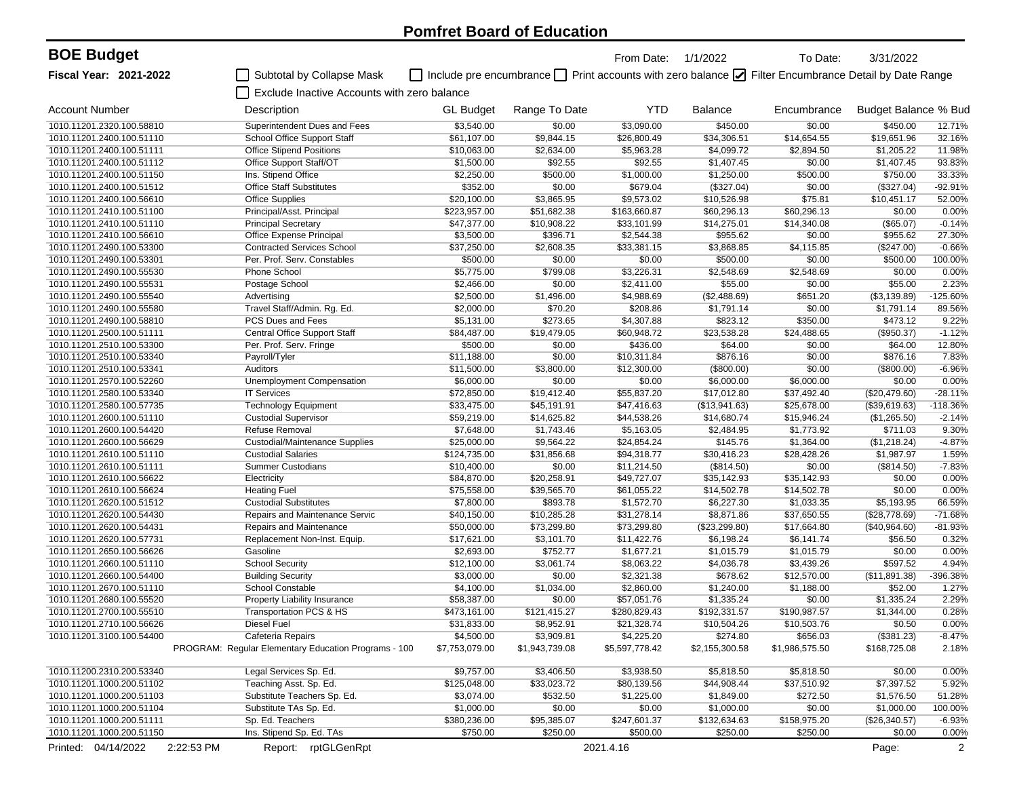| <b>BOE Budget</b>                                      |                                                      |                         |                                                                                                        | From Date: 1/1/2022     |                          | To Date:         | 3/31/2022            |                 |
|--------------------------------------------------------|------------------------------------------------------|-------------------------|--------------------------------------------------------------------------------------------------------|-------------------------|--------------------------|------------------|----------------------|-----------------|
| <b>Fiscal Year: 2021-2022</b>                          | Subtotal by Collapse Mask                            |                         | □ Include pre encumbrance □ Print accounts with zero balance ☑ Filter Encumbrance Detail by Date Range |                         |                          |                  |                      |                 |
|                                                        | Exclude Inactive Accounts with zero balance          |                         |                                                                                                        |                         |                          |                  |                      |                 |
| <b>Account Number</b>                                  | Description                                          | <b>GL Budget</b>        | Range To Date                                                                                          | <b>YTD</b>              | <b>Balance</b>           | Encumbrance      | Budget Balance % Bud |                 |
| 1010.11201.2320.100.58810                              | Superintendent Dues and Fees                         | \$3,540.00              | \$0.00                                                                                                 | \$3,090.00              | \$450.00                 | \$0.00           | \$450.00             | 12.71%          |
| 1010.11201.2400.100.51110                              | School Office Support Staff                          | \$61,107.00             | \$9,844.15                                                                                             | \$26,800.49             | \$34,306.51              | \$14,654.55      | \$19,651.96          | 32.16%          |
| 1010.11201.2400.100.51111                              | <b>Office Stipend Positions</b>                      | \$10,063.00             | \$2,634.00                                                                                             | \$5,963.28              | \$4,099.72               | \$2,894.50       | \$1,205.22           | 11.98%          |
| 1010.11201.2400.100.51112                              | Office Support Staff/OT                              | \$1,500.00              | \$92.55                                                                                                | \$92.55                 | \$1,407.45               | \$0.00           | \$1,407.45           | 93.83%          |
| 1010.11201.2400.100.51150                              | Ins. Stipend Office                                  | \$2,250.00              | \$500.00                                                                                               | \$1,000.00              | \$1,250.00               | \$500.00         | \$750.00             | 33.33%          |
| 1010.11201.2400.100.51512                              | <b>Office Staff Substitutes</b>                      | \$352.00                | \$0.00                                                                                                 | \$679.04                | (\$327.04)               | \$0.00           | (\$327.04)           | $-92.91%$       |
| 1010.11201.2400.100.56610                              | <b>Office Supplies</b>                               | \$20,100.00             | \$3,865.95                                                                                             | \$9,573.02              | \$10,526.98              | \$75.81          | \$10,451.17          | 52.00%          |
| 1010.11201.2410.100.51100                              | Principal/Asst. Principal                            | \$223,957.00            | \$51,682.38                                                                                            | \$163,660.87            | \$60,296.13              | \$60,296.13      | \$0.00               | 0.00%           |
| 1010.11201.2410.100.51110                              | <b>Principal Secretary</b>                           | \$47,377.00             | \$10,908.22                                                                                            | \$33,101.99             | \$14,275.01              | \$14,340.08      | (\$65.07)            | $-0.14%$        |
| 1010.11201.2410.100.56610                              | Office Expense Principal                             | \$3,500.00              | \$396.71                                                                                               | \$2,544.38              | \$955.62                 | \$0.00           | \$955.62             | 27.30%          |
| 1010.11201.2490.100.53300                              | <b>Contracted Services School</b>                    | \$37,250.00             | \$2,608.35                                                                                             | \$33,381.15             | \$3,868.85               | \$4,115.85       | (\$247.00)           | $-0.66%$        |
| 1010.11201.2490.100.53301                              | Per. Prof. Serv. Constables                          | \$500.00                | \$0.00                                                                                                 | \$0.00                  | \$500.00                 | \$0.00           | \$500.00             | 100.00%         |
| 1010.11201.2490.100.55530                              | Phone School                                         | \$5,775.00              | \$799.08                                                                                               | \$3,226.31              | \$2,548.69               | \$2,548.69       | \$0.00               | 0.00%           |
| 1010.11201.2490.100.55531                              | Postage School                                       | \$2,466.00              | \$0.00                                                                                                 | \$2,411.00              | \$55.00                  | \$0.00           | \$55.00              | 2.23%           |
| 1010.11201.2490.100.55540                              | Advertising                                          | \$2,500.00              | \$1,496.00                                                                                             | \$4,988.69              | (\$2,488.69)             | \$651.20         | (\$3,139.89)         | -125.60%        |
| 1010.11201.2490.100.55580                              | Travel Staff/Admin. Rg. Ed.                          | \$2,000.00              | \$70.20                                                                                                | \$208.86                | \$1,791.14               | \$0.00           | \$1,791.14           | 89.56%          |
| 1010.11201.2490.100.58810                              | PCS Dues and Fees                                    | \$5,131.00              | \$273.65                                                                                               | \$4,307.88              | \$823.12                 | \$350.00         | \$473.12             | 9.22%           |
| 1010.11201.2500.100.51111                              | <b>Central Office Support Staff</b>                  | \$84,487.00             | \$19,479.05                                                                                            | \$60,948.72             | \$23,538.28              | \$24,488.65      | (\$950.37)           | $-1.12%$        |
| 1010.11201.2510.100.53300<br>1010.11201.2510.100.53340 | Per. Prof. Serv. Fringe                              | \$500.00<br>\$11,188.00 | \$0.00<br>\$0.00                                                                                       | \$436.00<br>\$10,311.84 | \$64.00<br>\$876.16      | \$0.00<br>\$0.00 | \$64.00<br>\$876.16  | 12.80%<br>7.83% |
| 1010.11201.2510.100.53341                              | Payroll/Tyler<br>Auditors                            | \$11,500.00             | \$3,800.00                                                                                             | \$12,300.00             |                          | \$0.00           | (\$800.00)           | $-6.96%$        |
| 1010.11201.2570.100.52260                              | <b>Unemployment Compensation</b>                     | \$6,000.00              | \$0.00                                                                                                 | \$0.00                  | (\$800.00)<br>\$6,000.00 | \$6,000.00       | \$0.00               | 0.00%           |
| 1010.11201.2580.100.53340                              | <b>IT Services</b>                                   | \$72,850.00             | \$19,412.40                                                                                            | \$55,837.20             | \$17,012.80              | \$37,492.40      | (\$20,479.60)        | $-28.11%$       |
| 1010.11201.2580.100.57735                              | <b>Technology Equipment</b>                          | \$33,475.00             | \$45,191.91                                                                                            | \$47,416.63             | (\$13,941.63)            | \$25,678.00      | (\$39,619.63)        | $-118.36%$      |
| 1010.11201.2600.100.51110                              | <b>Custodial Supervisor</b>                          | \$59,219.00             | \$14,625.82                                                                                            | \$44,538.26             | \$14,680.74              | \$15,946.24      | (\$1,265.50)         | $-2.14%$        |
| 1010.11201.2600.100.54420                              | Refuse Removal                                       | \$7,648.00              | \$1,743.46                                                                                             | \$5,163.05              | \$2,484.95               | \$1,773.92       | \$711.03             | 9.30%           |
| 1010.11201.2600.100.56629                              | <b>Custodial/Maintenance Supplies</b>                | \$25,000.00             | \$9,564.22                                                                                             | \$24,854.24             | \$145.76                 | \$1,364.00       | (\$1,218.24)         | $-4.87%$        |
| 1010.11201.2610.100.51110                              | <b>Custodial Salaries</b>                            | \$124,735.00            | \$31,856.68                                                                                            | \$94,318.77             | \$30,416.23              | \$28,428.26      | \$1,987.97           | 1.59%           |
| 1010.11201.2610.100.51111                              | <b>Summer Custodians</b>                             | \$10,400.00             | \$0.00                                                                                                 | \$11,214.50             | (\$814.50)               | \$0.00           | (\$814.50)           | $-7.83%$        |
| 1010.11201.2610.100.56622                              | Electricity                                          | \$84,870.00             | \$20,258.91                                                                                            | \$49,727.07             | \$35,142.93              | \$35,142.93      | \$0.00               | 0.00%           |
| 1010.11201.2610.100.56624                              | <b>Heating Fuel</b>                                  | \$75,558.00             | \$39,565.70                                                                                            | \$61,055.22             | \$14,502.78              | \$14,502.78      | \$0.00               | 0.00%           |
| 1010.11201.2620.100.51512                              | <b>Custodial Substitutes</b>                         | \$7,800.00              | \$893.78                                                                                               | \$1,572.70              | \$6,227.30               | \$1,033.35       | \$5,193.95           | 66.59%          |
| 1010.11201.2620.100.54430                              | Repairs and Maintenance Servic                       | \$40,150.00             | \$10,285.28                                                                                            | \$31,278.14             | \$8,871.86               | \$37,650.55      | (\$28,778.69)        | $-71.68%$       |
| 1010.11201.2620.100.54431                              | Repairs and Maintenance                              | \$50,000.00             | \$73,299.80                                                                                            | \$73,299.80             | $(\$23,299.80)$          | \$17,664.80      | (\$40,964.60)        | $-81.93%$       |
| 1010.11201.2620.100.57731                              | Replacement Non-Inst. Equip.                         | \$17,621.00             | \$3,101.70                                                                                             | \$11,422.76             | \$6,198.24               | \$6,141.74       | \$56.50              | 0.32%           |
| 1010.11201.2650.100.56626                              | Gasoline                                             | \$2,693.00              | \$752.77                                                                                               | \$1,677.21              | \$1,015.79               | \$1,015.79       | \$0.00               | 0.00%           |
| 1010.11201.2660.100.51110                              | <b>School Security</b>                               | \$12,100.00             | \$3,061.74                                                                                             | \$8,063.22              | \$4,036.78               | \$3,439.26       | \$597.52             | 4.94%           |
| 1010.11201.2660.100.54400                              | <b>Building Security</b>                             | \$3,000.00              | \$0.00                                                                                                 | \$2,321.38              | \$678.62                 | \$12,570.00      | (\$11,891.38)        | -396.38%        |
| 1010.11201.2670.100.51110                              | School Constable                                     | \$4,100.00              | \$1,034.00                                                                                             | \$2,860.00              | \$1,240.00               | \$1,188.00       | \$52.00              | 1.27%           |
| 1010.11201.2680.100.55520                              | Property Liability Insurance                         | \$58,387.00             | \$0.00                                                                                                 | \$57,051.76             | \$1,335.24               | \$0.00           | \$1,335.24           | 2.29%           |
| 1010.11201.2700.100.55510                              | Transportation PCS & HS                              | \$473,161.00            | \$121,415.27                                                                                           | \$280,829.43            | \$192,331.57             | \$190,987.57     | \$1,344.00           | 0.28%           |
| 1010.11201.2710.100.56626                              | Diesel Fuel                                          | \$31,833.00             | \$8,952.91                                                                                             | \$21,328.74             | \$10,504.26              | \$10,503.76      | \$0.50               | $0.00\%$        |
| 1010.11201.3100.100.54400                              | Cafeteria Repairs                                    | \$4,500.00              | \$3,909.81                                                                                             | \$4,225.20              | \$274.80                 | \$656.03         | (\$381.23)           | $-8.47%$        |
|                                                        | PROGRAM: Regular Elementary Education Programs - 100 | \$7,753,079.00          | \$1,943,739.08                                                                                         | \$5,597,778.42          | \$2,155,300.58           | \$1,986,575.50   | \$168,725.08         | 2.18%           |
| 1010.11200.2310.200.53340                              | Legal Services Sp. Ed.                               | \$9,757.00              | \$3,406.50                                                                                             | \$3,938.50              | \$5,818.50               | \$5,818.50       | \$0.00               | 0.00%           |
| 1010.11201.1000.200.51102                              | Teaching Asst. Sp. Ed.                               | \$125,048.00            | \$33,023.72                                                                                            | \$80,139.56             | \$44,908.44              | \$37,510.92      | \$7,397.52           | 5.92%           |
| 1010.11201.1000.200.51103                              | Substitute Teachers Sp. Ed.                          | \$3,074.00              | \$532.50                                                                                               | \$1,225.00              | \$1,849.00               | \$272.50         | \$1,576.50           | 51.28%          |
| 1010.11201.1000.200.51104                              | Substitute TAs Sp. Ed.                               | \$1,000.00              | \$0.00                                                                                                 | \$0.00                  | \$1,000.00               | \$0.00           | \$1,000.00           | 100.00%         |
| 1010.11201.1000.200.51111                              | Sp. Ed. Teachers                                     | \$380,236.00            | \$95,385.07                                                                                            | \$247,601.37            | \$132,634.63             | \$158,975.20     | (\$26,340.57)        | $-6.93%$        |
| 1010.11201.1000.200.51150                              | Ins. Stipend Sp. Ed. TAs                             | \$750.00                | \$250.00                                                                                               | \$500.00                | \$250.00                 | \$250.00         | \$0.00               | 0.00%           |
| Printed: 04/14/2022                                    | 2:22:53 PM<br>Report: rptGLGenRpt                    |                         |                                                                                                        | 2021.4.16               |                          |                  | Page:                | $\overline{2}$  |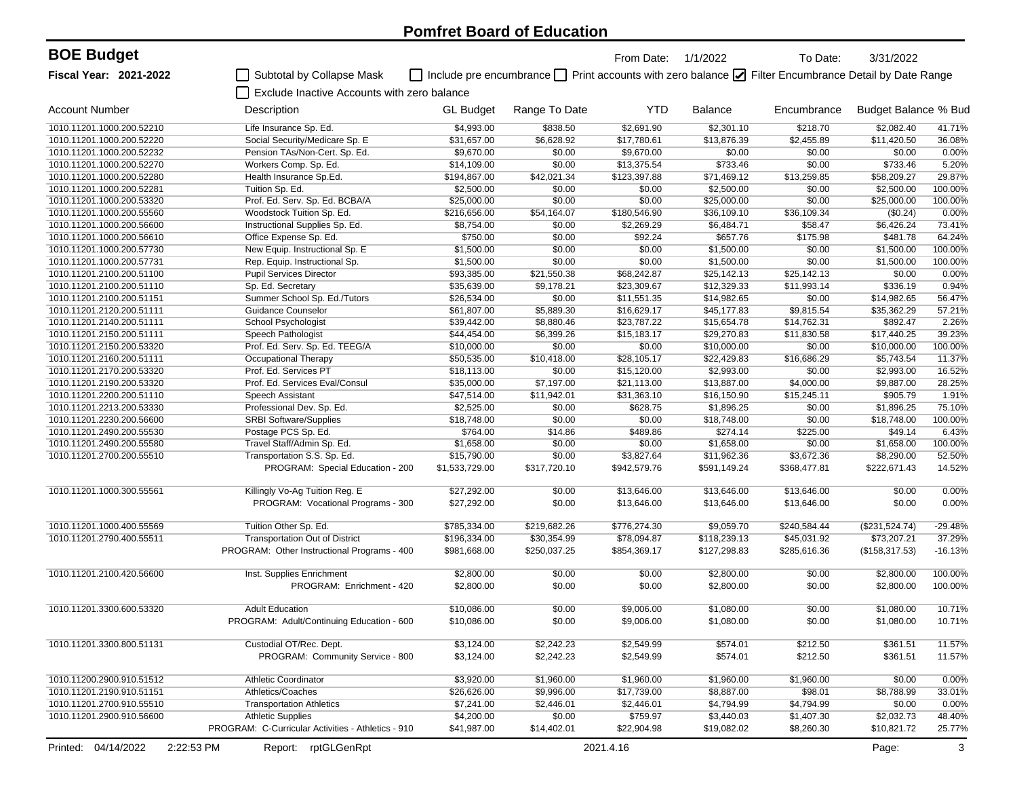| <b>BOE Budget</b>         |                                                    |                  |                                                                                                        | From Date:   | 1/1/2022       | To Date:     | 3/31/2022            |              |
|---------------------------|----------------------------------------------------|------------------|--------------------------------------------------------------------------------------------------------|--------------|----------------|--------------|----------------------|--------------|
| Fiscal Year: 2021-2022    | Subtotal by Collapse Mask                          |                  | □ Include pre encumbrance □ Print accounts with zero balance ☑ Filter Encumbrance Detail by Date Range |              |                |              |                      |              |
|                           | Exclude Inactive Accounts with zero balance        |                  |                                                                                                        |              |                |              |                      |              |
| <b>Account Number</b>     | Description                                        | <b>GL Budget</b> | Range To Date                                                                                          | <b>YTD</b>   | <b>Balance</b> | Encumbrance  | Budget Balance % Bud |              |
| 1010.11201.1000.200.52210 | Life Insurance Sp. Ed.                             | \$4,993.00       | \$838.50                                                                                               | \$2,691.90   | \$2,301.10     | \$218.70     | \$2.082.40           | 41.71%       |
| 1010.11201.1000.200.52220 | Social Security/Medicare Sp. E                     | \$31,657.00      | \$6,628.92                                                                                             | \$17,780.61  | \$13,876.39    | \$2,455.89   | \$11,420.50          | 36.08%       |
| 1010.11201.1000.200.52232 | Pension TAs/Non-Cert. Sp. Ed.                      | \$9,670.00       | \$0.00                                                                                                 | \$9,670.00   | \$0.00         | \$0.00       | \$0.00               | 0.00%        |
| 1010.11201.1000.200.52270 | Workers Comp. Sp. Ed.                              | \$14,109.00      | \$0.00                                                                                                 | \$13,375.54  | \$733.46       | \$0.00       | \$733.46             | 5.20%        |
| 1010.11201.1000.200.52280 | Health Insurance Sp.Ed.                            | \$194,867.00     | \$42,021.34                                                                                            | \$123,397.88 | \$71,469.12    | \$13,259.85  | \$58,209.27          | 29.87%       |
| 1010.11201.1000.200.52281 | Tuition Sp. Ed.                                    | \$2,500.00       | \$0.00                                                                                                 | \$0.00       | \$2,500.00     | \$0.00       | \$2,500.00           | 100.00%      |
| 1010.11201.1000.200.53320 | Prof. Ed. Serv. Sp. Ed. BCBA/A                     | \$25,000.00      | \$0.00                                                                                                 | \$0.00       | \$25,000.00    | \$0.00       | \$25,000.00          | 100.00%      |
| 1010.11201.1000.200.55560 | Woodstock Tuition Sp. Ed.                          | \$216,656.00     | \$54,164.07                                                                                            | \$180,546.90 | \$36,109.10    | \$36,109.34  | (\$0.24)             | 0.00%        |
| 1010.11201.1000.200.56600 | Instructional Supplies Sp. Ed.                     | \$8,754.00       | \$0.00                                                                                                 | \$2,269.29   | \$6,484.71     | \$58.47      | \$6,426.24           | 73.41%       |
| 1010.11201.1000.200.56610 | Office Expense Sp. Ed.                             | \$750.00         | \$0.00                                                                                                 | \$92.24      | \$657.76       | \$175.98     | \$481.78             | 64.24%       |
| 1010.11201.1000.200.57730 | New Equip. Instructional Sp. E                     | \$1,500.00       | \$0.00                                                                                                 | \$0.00       | \$1,500.00     | \$0.00       | \$1,500.00           | 100.00%      |
| 1010.11201.1000.200.57731 | Rep. Equip. Instructional Sp.                      | \$1,500.00       | \$0.00                                                                                                 | \$0.00       | \$1,500.00     | \$0.00       | \$1,500.00           | 100.00%      |
| 1010.11201.2100.200.51100 | <b>Pupil Services Director</b>                     | \$93,385.00      | \$21,550.38                                                                                            | \$68,242.87  | \$25,142.13    | \$25,142.13  | \$0.00               | 0.00%        |
| 1010.11201.2100.200.51110 | Sp. Ed. Secretary                                  | \$35,639.00      | \$9,178.21                                                                                             | \$23,309.67  | \$12,329.33    | \$11,993.14  | \$336.19             | 0.94%        |
| 1010.11201.2100.200.51151 | Summer School Sp. Ed./Tutors                       | \$26,534.00      | \$0.00                                                                                                 | \$11,551.35  | \$14,982.65    | \$0.00       | \$14,982.65          | 56.47%       |
| 1010.11201.2120.200.51111 | Guidance Counselor                                 | \$61,807.00      | \$5,889.30                                                                                             | \$16,629.17  | \$45,177.83    | \$9,815.54   | \$35.362.29          | 57.21%       |
| 1010.11201.2140.200.51111 | School Psychologist                                | \$39,442.00      | \$8,880.46                                                                                             | \$23,787.22  | \$15,654.78    | \$14,762.31  | \$892.47             | 2.26%        |
| 1010.11201.2150.200.51111 | Speech Pathologist                                 | \$44,454.00      | \$6,399.26                                                                                             | \$15,183.17  | \$29,270.83    | \$11,830.58  | \$17.440.25          | 39.23%       |
| 1010.11201.2150.200.53320 | Prof. Ed. Serv. Sp. Ed. TEEG/A                     | \$10,000.00      | \$0.00                                                                                                 | \$0.00       | \$10,000.00    | \$0.00       | \$10,000.00          | 100.00%      |
| 1010.11201.2160.200.51111 | Occupational Therapy                               | \$50,535.00      | \$10,418.00                                                                                            | \$28,105.17  | \$22,429.83    | \$16,686.29  | \$5,743.54           | 11.37%       |
| 1010.11201.2170.200.53320 | Prof. Ed. Services PT                              | \$18.113.00      | \$0.00                                                                                                 | \$15,120.00  | \$2,993.00     | \$0.00       | \$2,993.00           | 16.52%       |
| 1010.11201.2190.200.53320 | Prof. Ed. Services Eval/Consul                     | \$35,000.00      | \$7,197.00                                                                                             | \$21,113.00  | \$13,887.00    | \$4,000.00   | \$9,887.00           | 28.25%       |
| 1010.11201.2200.200.51110 | Speech Assistant                                   | \$47,514.00      | \$11,942.01                                                                                            | \$31,363.10  | \$16,150.90    | \$15,245.11  | \$905.79             | 1.91%        |
| 1010.11201.2213.200.53330 | Professional Dev. Sp. Ed.                          | \$2,525.00       | \$0.00                                                                                                 | \$628.75     | \$1,896.25     | \$0.00       | \$1,896.25           | 75.10%       |
| 1010.11201.2230.200.56600 | <b>SRBI Software/Supplies</b>                      | \$18,748.00      | \$0.00                                                                                                 | \$0.00       | \$18,748.00    | \$0.00       | \$18,748.00          | 100.00%      |
| 1010.11201.2490.200.55530 | Postage PCS Sp. Ed.                                | \$764.00         | \$14.86                                                                                                | \$489.86     | \$274.14       | \$225.00     | \$49.14              | 6.43%        |
| 1010.11201.2490.200.55580 | Travel Staff/Admin Sp. Ed.                         | \$1,658.00       | \$0.00                                                                                                 | \$0.00       | \$1,658.00     | \$0.00       | \$1,658.00           | 100.00%      |
| 1010.11201.2700.200.55510 | Transportation S.S. Sp. Ed.                        | \$15,790.00      | \$0.00                                                                                                 | \$3,827.64   | \$11,962.36    | \$3,672.36   | \$8,290.00           | 52.50%       |
|                           | PROGRAM: Special Education - 200                   | \$1,533,729.00   | \$317,720.10                                                                                           | \$942,579.76 | \$591,149.24   | \$368,477.81 | \$222,671.43         | 14.52%       |
| 1010.11201.1000.300.55561 | Killingly Vo-Ag Tuition Reg. E                     | \$27,292.00      | \$0.00                                                                                                 | \$13,646.00  | \$13,646.00    | \$13,646.00  | \$0.00               | 0.00%        |
|                           | PROGRAM: Vocational Programs - 300                 | \$27,292.00      | \$0.00                                                                                                 | \$13,646.00  | \$13,646.00    | \$13,646.00  | \$0.00               | 0.00%        |
|                           |                                                    |                  |                                                                                                        |              |                |              |                      |              |
| 1010.11201.1000.400.55569 | Tuition Other Sp. Ed.                              | \$785,334.00     | \$219,682.26                                                                                           | \$776,274.30 | \$9,059.70     | \$240,584.44 | (\$231,524.74)       | $-29.48%$    |
| 1010.11201.2790.400.55511 | <b>Transportation Out of District</b>              | \$196,334.00     | \$30,354.99                                                                                            | \$78,094.87  | \$118,239.13   | \$45,031.92  | \$73,207.21          | 37.29%       |
|                           | PROGRAM: Other Instructional Programs - 400        | \$981,668.00     | \$250,037.25                                                                                           | \$854,369.17 | \$127,298.83   | \$285,616.36 | (\$158,317.53)       | $-16.13%$    |
| 1010.11201.2100.420.56600 | Inst. Supplies Enrichment                          | \$2,800.00       | \$0.00                                                                                                 | \$0.00       | \$2,800.00     | \$0.00       | \$2,800.00           | 100.00%      |
|                           | PROGRAM: Enrichment - 420                          | \$2,800.00       | \$0.00                                                                                                 | \$0.00       | \$2,800.00     | \$0.00       | \$2,800.00           | 100.00%      |
|                           |                                                    |                  |                                                                                                        |              |                |              |                      |              |
| 1010.11201.3300.600.53320 | <b>Adult Education</b>                             | \$10,086.00      | \$0.00                                                                                                 | \$9,006.00   | \$1,080.00     | \$0.00       | \$1,080.00           | 10.71%       |
|                           | PROGRAM: Adult/Continuing Education - 600          | \$10,086.00      | \$0.00                                                                                                 | \$9,006.00   | \$1,080.00     | \$0.00       | \$1,080.00           | 10.71%       |
| 1010.11201.3300.800.51131 | Custodial OT/Rec. Dept.                            | \$3,124.00       | \$2,242.23                                                                                             | \$2,549.99   | \$574.01       | \$212.50     | \$361.51             | 11.57%       |
|                           | PROGRAM: Community Service - 800                   | \$3,124.00       | \$2,242.23                                                                                             | \$2,549.99   | \$574.01       | \$212.50     | \$361.51             | 11.57%       |
|                           |                                                    |                  |                                                                                                        |              |                |              |                      |              |
| 1010.11200.2900.910.51512 | <b>Athletic Coordinator</b>                        | \$3,920.00       | \$1,960.00                                                                                             | \$1,960.00   | \$1,960.00     | \$1,960.00   | \$0.00               | 0.00%        |
| 1010.11201.2190.910.51151 | Athletics/Coaches                                  | \$26,626.00      | \$9,996.00                                                                                             | \$17,739.00  | \$8,887.00     | \$98.01      | \$8,788.99           | 33.01%       |
| 1010.11201.2700.910.55510 | <b>Transportation Athletics</b>                    | \$7,241.00       | \$2,446.01                                                                                             | \$2,446.01   | \$4,794.99     | \$4,794.99   | \$0.00               | 0.00%        |
| 1010.11201.2900.910.56600 | <b>Athletic Supplies</b>                           | \$4,200.00       | \$0.00                                                                                                 | \$759.97     | \$3,440.03     | \$1,407.30   | \$2,032.73           | 48.40%       |
|                           | PROGRAM: C-Curricular Activities - Athletics - 910 | \$41,987.00      | \$14,402.01                                                                                            | \$22,904.98  | \$19,082.02    | \$8,260.30   | \$10,821.72          | 25.77%       |
| Printed: 04/14/2022       | 2:22:53 PM<br>Report: rptGLGenRpt                  |                  |                                                                                                        | 2021.4.16    |                |              | Page:                | $\mathbf{3}$ |